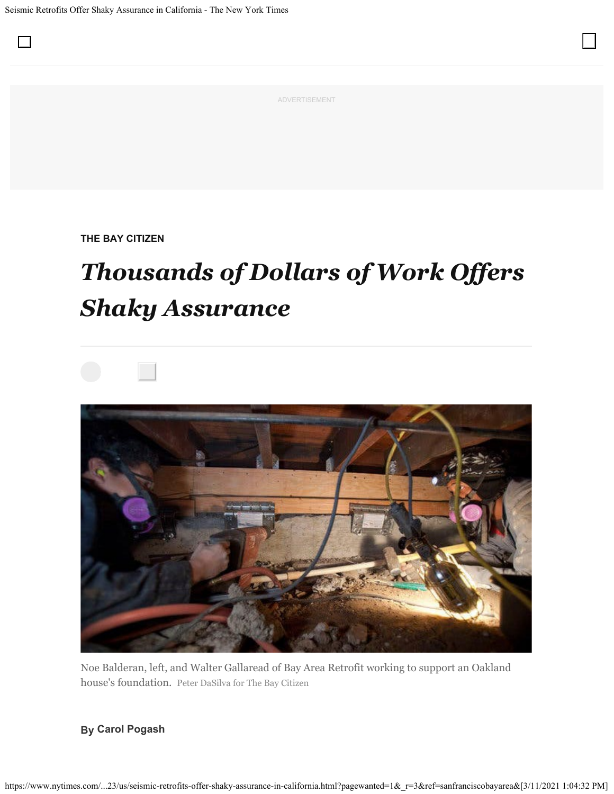$\Box$ 

ADVERTISEMENT

**THE BAY CITIZEN**

## *Thousands of Dollars of Work Offers Shaky Assurance*



Noe Balderan, left, and Walter Gallaread of Bay Area Retrofit working to support an Oakland house's foundation. Peter DaSilva for The Bay Citizen

## **By Carol Pogash**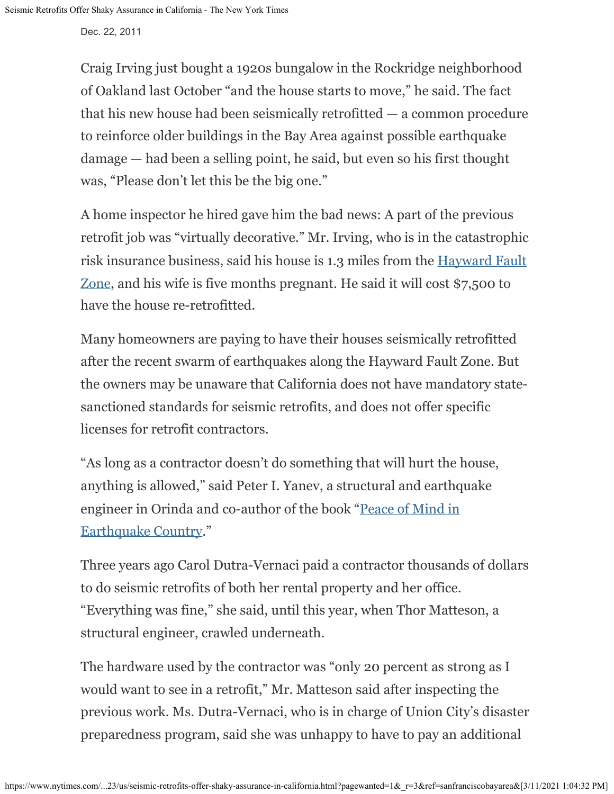Dec. 22, 2011

Craig Irving just bought a 1920s bungalow in the Rockridge neighborhood of Oakland last October "and the house starts to move," he said. The fact that his new house had been seismically retrofitted — a common procedure to reinforce older buildings in the Bay Area against possible earthquake damage — had been a selling point, he said, but even so his first thought was, "Please don't let this be the big one."

A home inspector he hired gave him the bad news: A part of the previous retrofit job was "virtually decorative." Mr. Irving, who is in the catastrophic risk insurance business, said his house is 1.3 miles from the [Hayward Fault](http://seismo.berkeley.edu/hayward/hayward.overview.html) [Zone](http://seismo.berkeley.edu/hayward/hayward.overview.html), and his wife is five months pregnant. He said it will cost \$7,500 to have the house re-retrofitted.

Many homeowners are paying to have their houses seismically retrofitted after the recent swarm of earthquakes along the Hayward Fault Zone. But the owners may be unaware that California does not have mandatory statesanctioned standards for seismic retrofits, and does not offer specific licenses for retrofit contractors.

"As long as a contractor doesn't do something that will hurt the house, anything is allowed," said Peter I. Yanev, a structural and earthquake engineer in Orinda and co-author of the book "[Peace of Mind in](http://www.theearthquakebook.com/) [Earthquake Country.](http://www.theearthquakebook.com/)"

Three years ago Carol Dutra-Vernaci paid a contractor thousands of dollars to do seismic retrofits of both her rental property and her office. "Everything was fine," she said, until this year, when Thor Matteson, a structural engineer, crawled underneath.

The hardware used by the contractor was "only 20 percent as strong as I would want to see in a retrofit," Mr. Matteson said after inspecting the previous work. Ms. Dutra-Vernaci, who is in charge of Union City's disaster preparedness program, said she was unhappy to have to pay an additional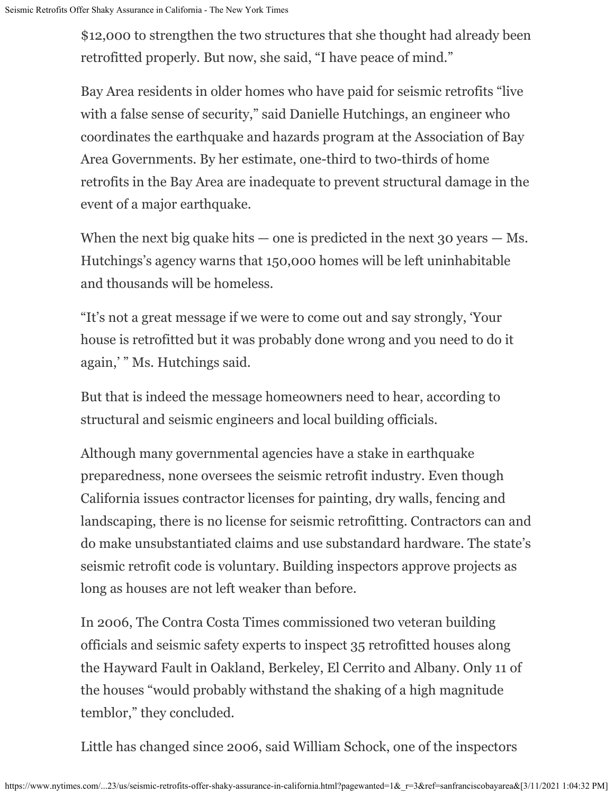\$12,000 to strengthen the two structures that she thought had already been retrofitted properly. But now, she said, "I have peace of mind."

Bay Area residents in older homes who have paid for seismic retrofits "live with a false sense of security," said Danielle Hutchings, an engineer who coordinates the earthquake and hazards program at the Association of Bay Area Governments. By her estimate, one-third to two-thirds of home retrofits in the Bay Area are inadequate to prevent structural damage in the event of a major earthquake.

When the next big quake hits — one is predicted in the next  $30$  years — Ms. Hutchings's agency warns that 150,000 homes will be left uninhabitable and thousands will be homeless.

"It's not a great message if we were to come out and say strongly, 'Your house is retrofitted but it was probably done wrong and you need to do it again,' " Ms. Hutchings said.

But that is indeed the message homeowners need to hear, according to structural and seismic engineers and local building officials.

Although many governmental agencies have a stake in earthquake preparedness, none oversees the seismic retrofit industry. Even though California issues contractor licenses for painting, dry walls, fencing and landscaping, there is no license for seismic retrofitting. Contractors can and do make unsubstantiated claims and use substandard hardware. The state's seismic retrofit code is voluntary. Building inspectors approve projects as long as houses are not left weaker than before.

In 2006, The Contra Costa Times commissioned two veteran building officials and seismic safety experts to inspect 35 retrofitted houses along the Hayward Fault in Oakland, Berkeley, El Cerrito and Albany. Only 11 of the houses "would probably withstand the shaking of a high magnitude temblor," they concluded.

Little has changed since 2006, said William Schock, one of the inspectors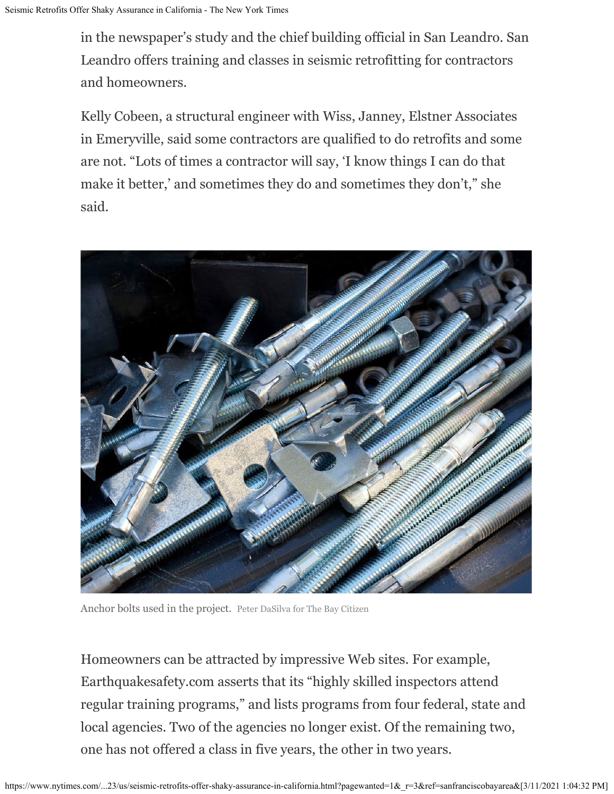in the newspaper's study and the chief building official in San Leandro. San Leandro offers training and classes in seismic retrofitting for contractors and homeowners.

Kelly Cobeen, a structural engineer with Wiss, Janney, Elstner Associates in Emeryville, said some contractors are qualified to do retrofits and some are not. "Lots of times a contractor will say, 'I know things I can do that make it better,' and sometimes they do and sometimes they don't," she said.



Anchor bolts used in the project. Peter DaSilva for The Bay Citizen

Homeowners can be attracted by impressive Web sites. For example, Earthquakesafety.com asserts that its "highly skilled inspectors attend regular training programs," and lists programs from four federal, state and local agencies. Two of the agencies no longer exist. Of the remaining two, one has not offered a class in five years, the other in two years.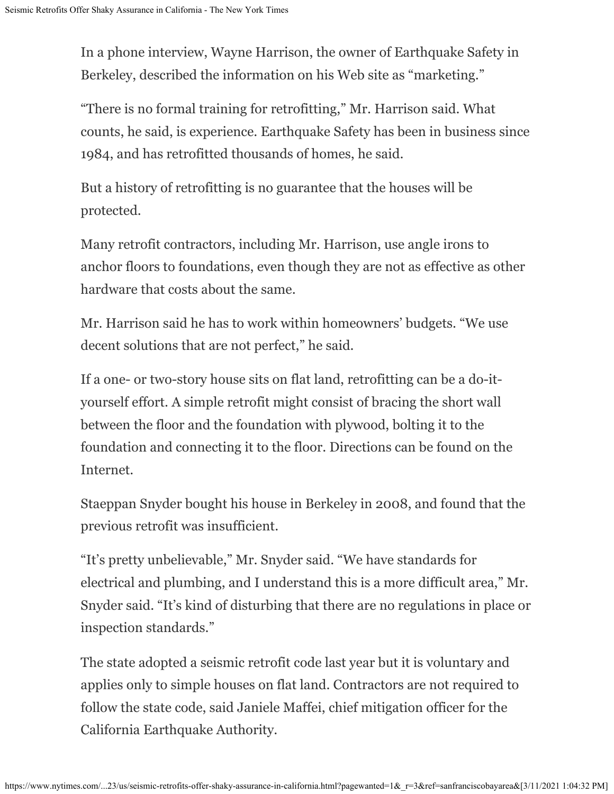In a phone interview, Wayne Harrison, the owner of Earthquake Safety in Berkeley, described the information on his Web site as "marketing."

"There is no formal training for retrofitting," Mr. Harrison said. What counts, he said, is experience. Earthquake Safety has been in business since 1984, and has retrofitted thousands of homes, he said.

But a history of retrofitting is no guarantee that the houses will be protected.

Many retrofit contractors, including Mr. Harrison, use angle irons to anchor floors to foundations, even though they are not as effective as other hardware that costs about the same.

Mr. Harrison said he has to work within homeowners' budgets. "We use decent solutions that are not perfect," he said.

If a one- or two-story house sits on flat land, retrofitting can be a do-ityourself effort. A simple retrofit might consist of bracing the short wall between the floor and the foundation with plywood, bolting it to the foundation and connecting it to the floor. Directions can be found on the Internet.

Staeppan Snyder bought his house in Berkeley in 2008, and found that the previous retrofit was insufficient.

"It's pretty unbelievable," Mr. Snyder said. "We have standards for electrical and plumbing, and I understand this is a more difficult area," Mr. Snyder said. "It's kind of disturbing that there are no regulations in place or inspection standards."

The state adopted a seismic retrofit code last year but it is voluntary and applies only to simple houses on flat land. Contractors are not required to follow the state code, said Janiele Maffei, chief mitigation officer for the California Earthquake Authority.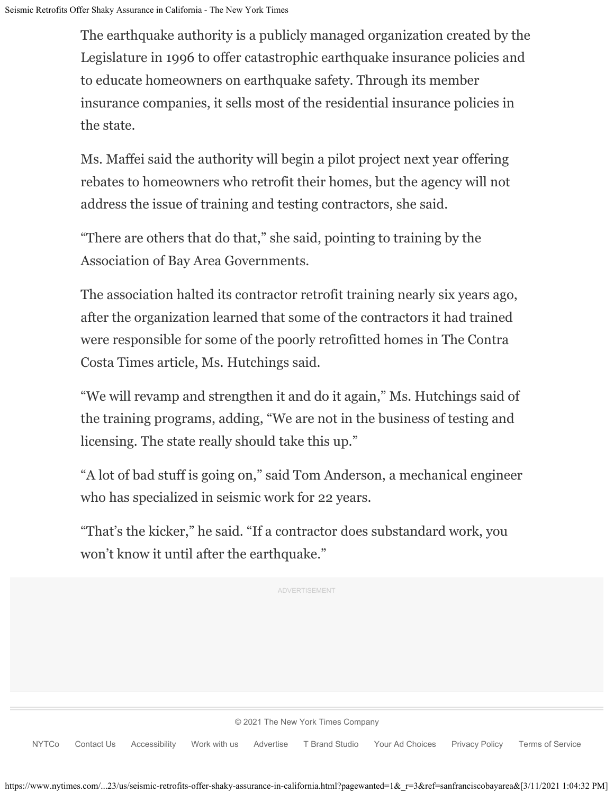The earthquake authority is a publicly managed organization created by the Legislature in 1996 to offer catastrophic earthquake insurance policies and to educate homeowners on earthquake safety. Through its member insurance companies, it sells most of the residential insurance policies in the state.

Ms. Maffei said the authority will begin a pilot project next year offering rebates to homeowners who retrofit their homes, but the agency will not address the issue of training and testing contractors, she said.

"There are others that do that," she said, pointing to training by the Association of Bay Area Governments.

The association halted its contractor retrofit training nearly six years ago, after the organization learned that some of the contractors it had trained were responsible for some of the poorly retrofitted homes in The Contra Costa Times article, Ms. Hutchings said.

"We will revamp and strengthen it and do it again," Ms. Hutchings said of the training programs, adding, "We are not in the business of testing and licensing. The state really should take this up."

"A lot of bad stuff is going on," said Tom Anderson, a mechanical engineer who has specialized in seismic work for 22 years.

"That's the kicker," he said. "If a contractor does substandard work, you won't know it until after the earthquake."

ADVERTISEMENT

[©](https://help.nytimes.com/hc/en-us/articles/115014792127-Copyright-notice) [2021](https://help.nytimes.com/hc/en-us/articles/115014792127-Copyright-notice) [The New York Times Company](https://help.nytimes.com/hc/en-us/articles/115014792127-Copyright-notice)

[NYTCo](https://www.nytco.com/) [Contact Us](https://help.nytimes.com/hc/en-us/articles/115015385887-Contact-Us) [Accessibility](https://help.nytimes.com/hc/en-us/articles/115015727108-Accessibility) [Work with us](https://www.nytco.com/careers/) [Advertise](https://nytmediakit.com/) [T Brand Studio](http://www.tbrandstudio.com/) [Your Ad Choices](https://www.nytimes.com/privacy/cookie-policy#how-do-i-manage-trackers) [Privacy Policy](https://www.nytimes.com/privacy/privacy-policy) [Terms of Service](https://help.nytimes.com/hc/en-us/articles/115014893428-Terms-of-service)